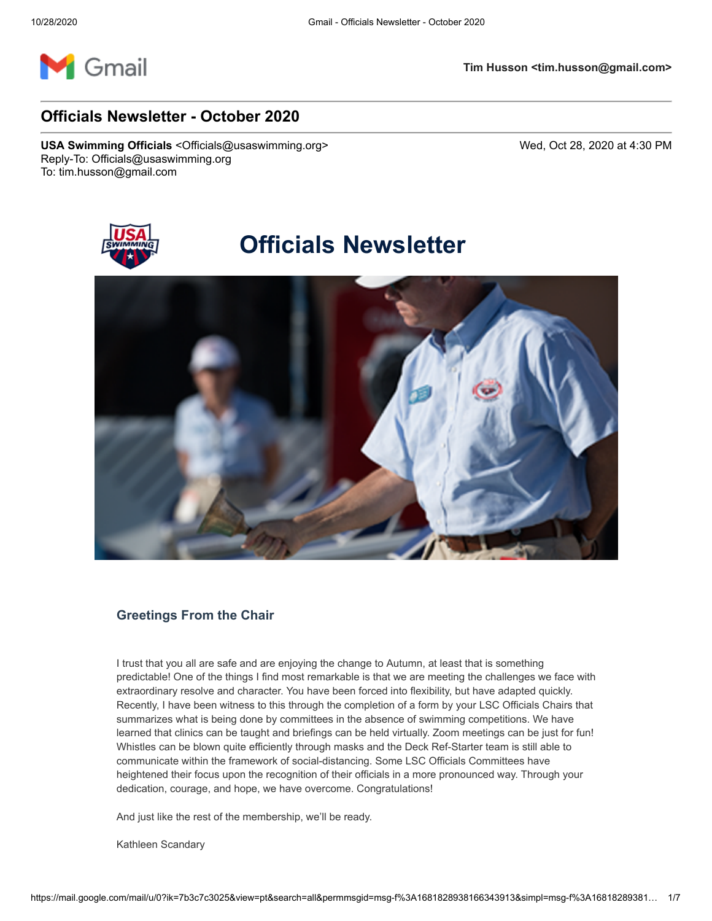

# **Officials Newsletter - October 2020**

**USA Swimming Officials** <Officials@usaswimming.org> Wed, Oct 28, 2020 at 4:30 PM Reply-To: Officials@usaswimming.org To: tim.husson@gmail.com



# **Officials Newsletter**



# **Greetings From the Chair**

I trust that you all are safe and are enjoying the change to Autumn, at least that is something predictable! One of the things I find most remarkable is that we are meeting the challenges we face with extraordinary resolve and character. You have been forced into flexibility, but have adapted quickly. Recently, I have been witness to this through the completion of a form by your LSC Officials Chairs that summarizes what is being done by committees in the absence of swimming competitions. We have learned that clinics can be taught and briefings can be held virtually. Zoom meetings can be just for fun! Whistles can be blown quite efficiently through masks and the Deck Ref-Starter team is still able to communicate within the framework of social-distancing. Some LSC Officials Committees have heightened their focus upon the recognition of their officials in a more pronounced way. Through your dedication, courage, and hope, we have overcome. Congratulations!

And just like the rest of the membership, we'll be ready.

Kathleen Scandary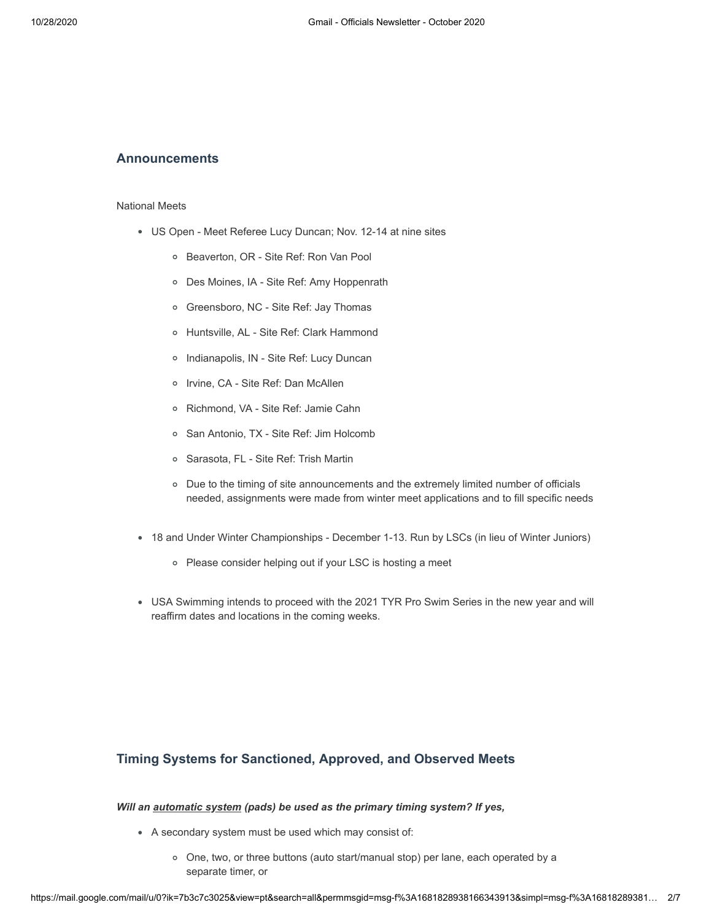## **Announcements**

#### National Meets

- US Open Meet Referee Lucy Duncan; Nov. 12-14 at nine sites
	- Beaverton, OR Site Ref: Ron Van Pool
	- Des Moines, IA Site Ref: Amy Hoppenrath
	- Greensboro, NC Site Ref: Jay Thomas
	- Huntsville, AL Site Ref: Clark Hammond
	- o Indianapolis, IN Site Ref: Lucy Duncan
	- o Irvine, CA Site Ref: Dan McAllen
	- Richmond, VA Site Ref: Jamie Cahn
	- San Antonio, TX Site Ref: Jim Holcomb
	- Sarasota, FL Site Ref: Trish Martin
	- Due to the timing of site announcements and the extremely limited number of officials needed, assignments were made from winter meet applications and to fill specific needs
- 18 and Under Winter Championships December 1-13. Run by LSCs (in lieu of Winter Juniors)
	- Please consider helping out if your LSC is hosting a meet
- USA Swimming intends to proceed with the 2021 TYR Pro Swim Series in the new year and will reaffirm dates and locations in the coming weeks.

## **Timing Systems for Sanctioned, Approved, and Observed Meets**

#### *Will an automatic system (pads) be used as the primary timing system? If yes,*

- A secondary system must be used which may consist of:
	- One, two, or three buttons (auto start/manual stop) per lane, each operated by a separate timer, or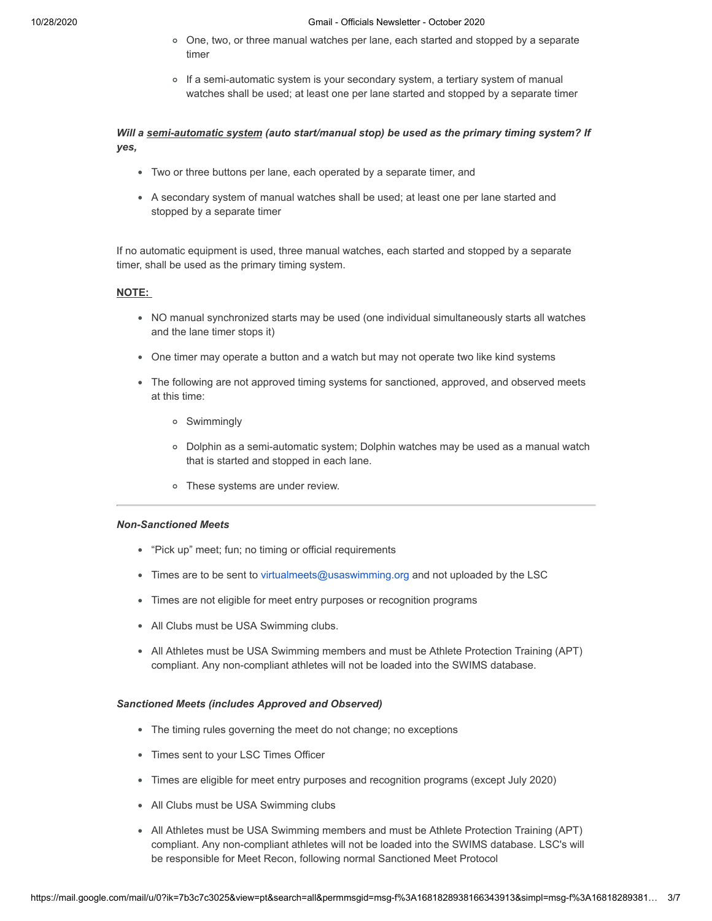#### 10/28/2020 Gmail - Officials Newsletter - October 2020

- One, two, or three manual watches per lane, each started and stopped by a separate timer
- o If a semi-automatic system is your secondary system, a tertiary system of manual watches shall be used; at least one per lane started and stopped by a separate timer

## *Will a semi-automatic system (auto start/manual stop) be used as the primary timing system? If yes,*

- Two or three buttons per lane, each operated by a separate timer, and
- A secondary system of manual watches shall be used; at least one per lane started and stopped by a separate timer

If no automatic equipment is used, three manual watches, each started and stopped by a separate timer, shall be used as the primary timing system.

#### **NOTE:**

- NO manual synchronized starts may be used (one individual simultaneously starts all watches and the lane timer stops it)
- One timer may operate a button and a watch but may not operate two like kind systems
- The following are not approved timing systems for sanctioned, approved, and observed meets at this time:
	- Swimmingly
	- Dolphin as a semi-automatic system; Dolphin watches may be used as a manual watch that is started and stopped in each lane.
	- These systems are under review.

## *Non-Sanctioned Meets*

- "Pick up" meet; fun; no timing or official requirements
- Times are to be sent to [virtualmeets@usaswimming.org](http://pages.usaswimming.org/DKA200X0ZCo00f02rw0O0ZB) and not uploaded by the LSC
- Times are not eligible for meet entry purposes or recognition programs
- All Clubs must be USA Swimming clubs.
- All Athletes must be USA Swimming members and must be Athlete Protection Training (APT) compliant. Any non-compliant athletes will not be loaded into the SWIMS database.

#### *Sanctioned Meets (includes Approved and Observed)*

- The timing rules governing the meet do not change; no exceptions
- Times sent to your LSC Times Officer
- Times are eligible for meet entry purposes and recognition programs (except July 2020)
- All Clubs must be USA Swimming clubs
- All Athletes must be USA Swimming members and must be Athlete Protection Training (APT) compliant. Any non-compliant athletes will not be loaded into the SWIMS database. LSC's will be responsible for Meet Recon, following normal Sanctioned Meet Protocol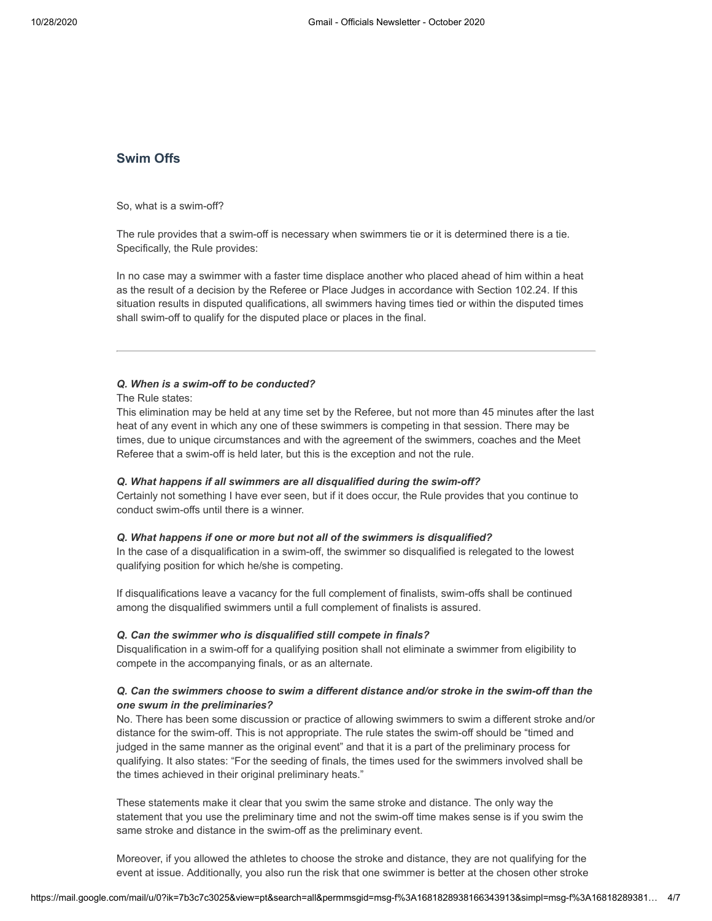## **Swim Offs**

So, what is a swim-off?

The rule provides that a swim-off is necessary when swimmers tie or it is determined there is a tie. Specifically, the Rule provides:

In no case may a swimmer with a faster time displace another who placed ahead of him within a heat as the result of a decision by the Referee or Place Judges in accordance with Section 102.24. If this situation results in disputed qualifications, all swimmers having times tied or within the disputed times shall swim-off to qualify for the disputed place or places in the final.

## *Q. When is a swim-off to be conducted?*

The Rule states:

This elimination may be held at any time set by the Referee, but not more than 45 minutes after the last heat of any event in which any one of these swimmers is competing in that session. There may be times, due to unique circumstances and with the agreement of the swimmers, coaches and the Meet Referee that a swim-off is held later, but this is the exception and not the rule.

#### *Q. What happens if all swimmers are all disqualified during the swim-off?*

Certainly not something I have ever seen, but if it does occur, the Rule provides that you continue to conduct swim-offs until there is a winner.

#### *Q. What happens if one or more but not all of the swimmers is disqualified?*

In the case of a disqualification in a swim-off, the swimmer so disqualified is relegated to the lowest qualifying position for which he/she is competing.

If disqualifications leave a vacancy for the full complement of finalists, swim-offs shall be continued among the disqualified swimmers until a full complement of finalists is assured.

#### *Q. Can the swimmer who is disqualified still compete in finals?*

Disqualification in a swim-off for a qualifying position shall not eliminate a swimmer from eligibility to compete in the accompanying finals, or as an alternate.

## *Q. Can the swimmers choose to swim a different distance and/or stroke in the swim-off than the one swum in the preliminaries?*

No. There has been some discussion or practice of allowing swimmers to swim a different stroke and/or distance for the swim-off. This is not appropriate. The rule states the swim-off should be "timed and judged in the same manner as the original event" and that it is a part of the preliminary process for qualifying. It also states: "For the seeding of finals, the times used for the swimmers involved shall be the times achieved in their original preliminary heats."

These statements make it clear that you swim the same stroke and distance. The only way the statement that you use the preliminary time and not the swim-off time makes sense is if you swim the same stroke and distance in the swim-off as the preliminary event.

Moreover, if you allowed the athletes to choose the stroke and distance, they are not qualifying for the event at issue. Additionally, you also run the risk that one swimmer is better at the chosen other stroke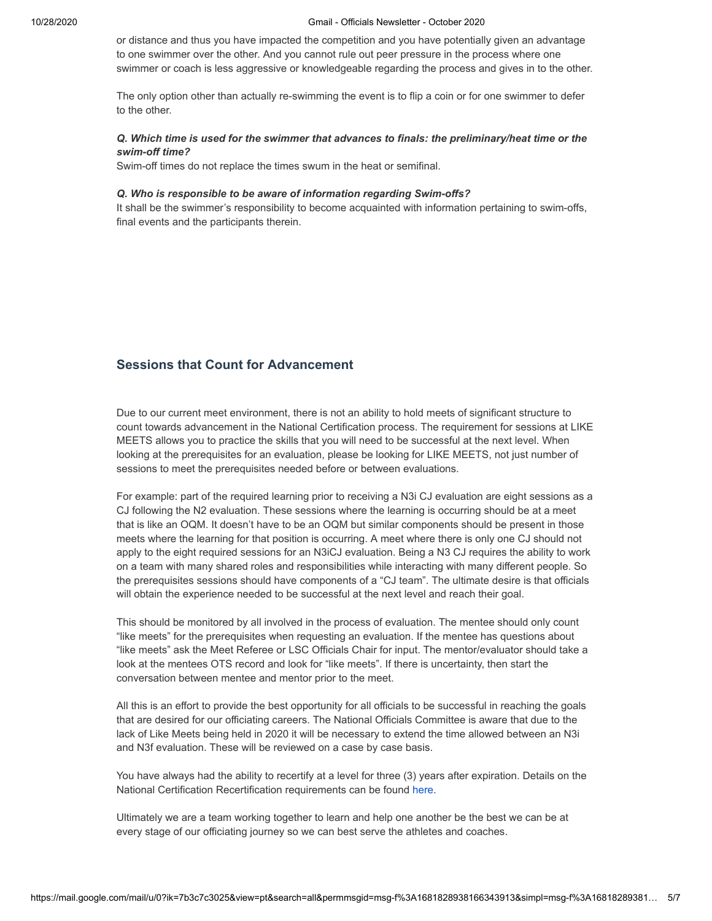#### 10/28/2020 Gmail - Officials Newsletter - October 2020

or distance and thus you have impacted the competition and you have potentially given an advantage to one swimmer over the other. And you cannot rule out peer pressure in the process where one swimmer or coach is less aggressive or knowledgeable regarding the process and gives in to the other.

The only option other than actually re-swimming the event is to flip a coin or for one swimmer to defer to the other.

## *Q. Which time is used for the swimmer that advances to finals: the preliminary/heat time or the swim-off time?*

Swim-off times do not replace the times swum in the heat or semifinal.

#### *Q. Who is responsible to be aware of information regarding Swim-offs?*

It shall be the swimmer's responsibility to become acquainted with information pertaining to swim-offs, final events and the participants therein.

# **Sessions that Count for Advancement**

Due to our current meet environment, there is not an ability to hold meets of significant structure to count towards advancement in the National Certification process. The requirement for sessions at LIKE MEETS allows you to practice the skills that you will need to be successful at the next level. When looking at the prerequisites for an evaluation, please be looking for LIKE MEETS, not just number of sessions to meet the prerequisites needed before or between evaluations.

For example: part of the required learning prior to receiving a N3i CJ evaluation are eight sessions as a CJ following the N2 evaluation. These sessions where the learning is occurring should be at a meet that is like an OQM. It doesn't have to be an OQM but similar components should be present in those meets where the learning for that position is occurring. A meet where there is only one CJ should not apply to the eight required sessions for an N3iCJ evaluation. Being a N3 CJ requires the ability to work on a team with many shared roles and responsibilities while interacting with many different people. So the prerequisites sessions should have components of a "CJ team". The ultimate desire is that officials will obtain the experience needed to be successful at the next level and reach their goal.

This should be monitored by all involved in the process of evaluation. The mentee should only count "like meets" for the prerequisites when requesting an evaluation. If the mentee has questions about "like meets" ask the Meet Referee or LSC Officials Chair for input. The mentor/evaluator should take a look at the mentees OTS record and look for "like meets". If there is uncertainty, then start the conversation between mentee and mentor prior to the meet.

All this is an effort to provide the best opportunity for all officials to be successful in reaching the goals that are desired for our officiating careers. The National Officials Committee is aware that due to the lack of Like Meets being held in 2020 it will be necessary to extend the time allowed between an N3i and N3f evaluation. These will be reviewed on a case by case basis.

You have always had the ability to recertify at a level for three (3) years after expiration. Details on the National Certification Recertification requirements can be found [here.](http://pages.usaswimming.org/ew0oBZ00000CKf0B22YrO0Z)

Ultimately we are a team working together to learn and help one another be the best we can be at every stage of our officiating journey so we can best serve the athletes and coaches.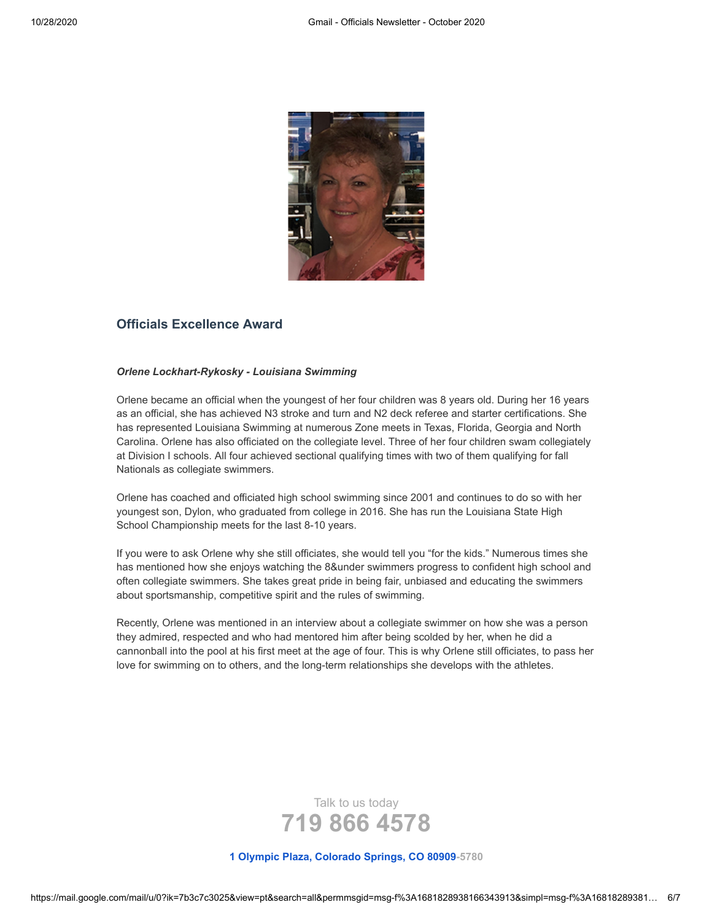

# **Officials Excellence Award**

#### *Orlene Lockhart-Rykosky - Louisiana Swimming*

Orlene became an official when the youngest of her four children was 8 years old. During her 16 years as an official, she has achieved N3 stroke and turn and N2 deck referee and starter certifications. She has represented Louisiana Swimming at numerous Zone meets in Texas, Florida, Georgia and North Carolina. Orlene has also officiated on the collegiate level. Three of her four children swam collegiately at Division I schools. All four achieved sectional qualifying times with two of them qualifying for fall Nationals as collegiate swimmers.

Orlene has coached and officiated high school swimming since 2001 and continues to do so with her youngest son, Dylon, who graduated from college in 2016. She has run the Louisiana State High School Championship meets for the last 8-10 years.

If you were to ask Orlene why she still officiates, she would tell you "for the kids." Numerous times she has mentioned how she enjoys watching the 8&under swimmers progress to confident high school and often collegiate swimmers. She takes great pride in being fair, unbiased and educating the swimmers about sportsmanship, competitive spirit and the rules of swimming.

Recently, Orlene was mentioned in an interview about a collegiate swimmer on how she was a person they admired, respected and who had mentored him after being scolded by her, when he did a cannonball into the pool at his first meet at the age of four. This is why Orlene still officiates, to pass her love for swimming on to others, and the long-term relationships she develops with the athletes.



**[1 Olympic Plaza, Colorado Springs, CO 80909-](https://www.google.com/maps/search/1+Olympic+Plaza,+Colorado+Springs,+CO+80909?entry=gmail&source=g)5780**